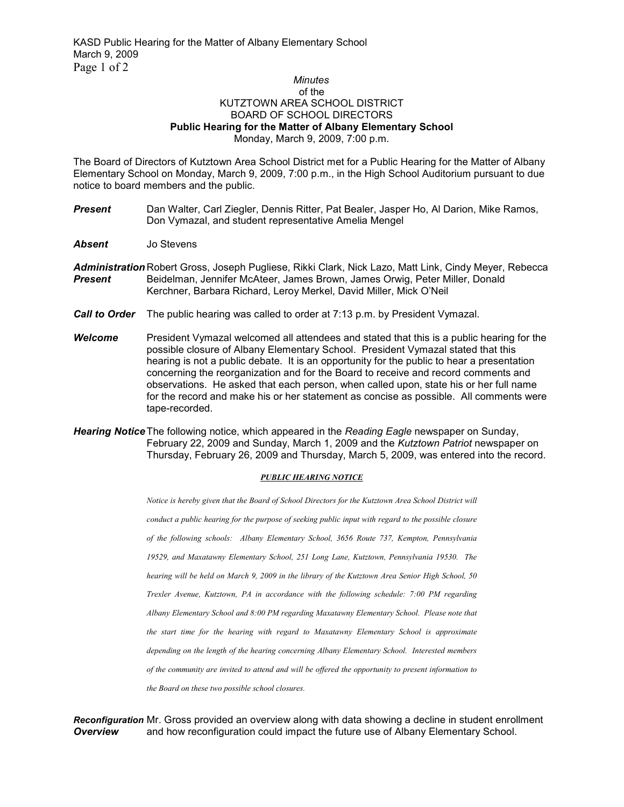## *Minutes*  of the KUTZTOWN AREA SCHOOL DISTRICT BOARD OF SCHOOL DIRECTORS **Public Hearing for the Matter of Albany Elementary School**  Monday, March 9, 2009, 7:00 p.m.

The Board of Directors of Kutztown Area School District met for a Public Hearing for the Matter of Albany Elementary School on Monday, March 9, 2009, 7:00 p.m., in the High School Auditorium pursuant to due notice to board members and the public.

- **Present** Dan Walter, Carl Ziegler, Dennis Ritter, Pat Bealer, Jasper Ho, Al Darion, Mike Ramos, Don Vymazal, and student representative Amelia Mengel
- *Absent* Jo Stevens
- *Administration* Robert Gross, Joseph Pugliese, Rikki Clark, Nick Lazo, Matt Link, Cindy Meyer, Rebecca *Present* Beidelman, Jennifer McAteer, James Brown, James Orwig, Peter Miller, Donald Kerchner, Barbara Richard, Leroy Merkel, David Miller, Mick O'Neil
- *Call to Order* The public hearing was called to order at 7:13 p.m. by President Vymazal.
- *Welcome* President Vymazal welcomed all attendees and stated that this is a public hearing for the possible closure of Albany Elementary School. President Vymazal stated that this hearing is not a public debate. It is an opportunity for the public to hear a presentation concerning the reorganization and for the Board to receive and record comments and observations. He asked that each person, when called upon, state his or her full name for the record and make his or her statement as concise as possible. All comments were tape-recorded.
- *Hearing Notice* The following notice, which appeared in the *Reading Eagle* newspaper on Sunday, February 22, 2009 and Sunday, March 1, 2009 and the *Kutztown Patriot* newspaper on Thursday, February 26, 2009 and Thursday, March 5, 2009, was entered into the record.

## *PUBLIC HEARING NOTICE*

*Notice is hereby given that the Board of School Directors for the Kutztown Area School District will conduct a public hearing for the purpose of seeking public input with regard to the possible closure of the following schools: Albany Elementary School, 3656 Route 737, Kempton, Pennsylvania 19529, and Maxatawny Elementary School, 251 Long Lane, Kutztown, Pennsylvania 19530. The hearing will be held on March 9, 2009 in the library of the Kutztown Area Senior High School, 50 Trexler Avenue, Kutztown, PA in accordance with the following schedule: 7:00 PM regarding Albany Elementary School and 8:00 PM regarding Maxatawny Elementary School. Please note that the start time for the hearing with regard to Maxatawny Elementary School is approximate depending on the length of the hearing concerning Albany Elementary School. Interested members of the community are invited to attend and will be offered the opportunity to present information to the Board on these two possible school closures.*

*Reconfiguration* Mr. Gross provided an overview along with data showing a decline in student enrollment **Overview** and how reconfiguration could impact the future use of Albany Elementary School.